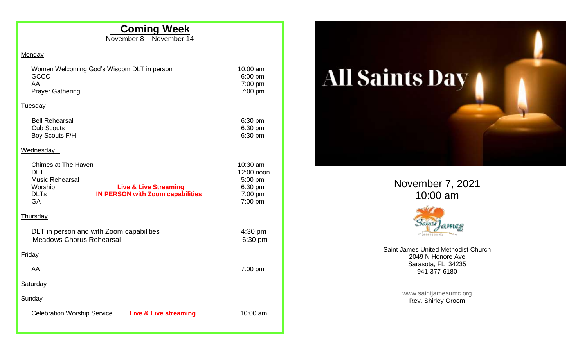## **Coming Week**

 $10:00$  am 6:00 pm 7:00 pm  $7:00$  pm

November 8 – November 14

## Monday

| Women Welcoming God's Wisdom DLT in person |  |
|--------------------------------------------|--|
| GCCC                                       |  |
| AA                                         |  |
| <b>Prayer Gathering</b>                    |  |

## **Tuesday**

| <b>Bell Rehearsal</b> | $6:30 \text{ pm}$ |
|-----------------------|-------------------|
| <b>Cub Scouts</b>     | $6:30 \text{ pm}$ |
| Boy Scouts F/H        | $6:30 \text{ pm}$ |

## **Wednesday**

|          | Chimes at The Haven<br>DLT.<br><b>Music Rehearsal</b><br>Worship<br><b>DLTs</b><br><b>GA</b> |  | <b>Live &amp; Live Streaming</b><br><b>IN PERSON with Zoom capabilities</b> |                              | $10:30$ am<br>12:00 noon<br>$5:00$ pm<br>6:30 pm<br>7:00 pm<br>$7:00$ pm |  |  |
|----------|----------------------------------------------------------------------------------------------|--|-----------------------------------------------------------------------------|------------------------------|--------------------------------------------------------------------------|--|--|
|          | <u>Thursday</u>                                                                              |  |                                                                             |                              |                                                                          |  |  |
|          | DLT in person and with Zoom capabilities<br><b>Meadows Chorus Rehearsal</b>                  |  |                                                                             | $4:30 \text{ pm}$<br>6:30 pm |                                                                          |  |  |
|          | <u>Friday</u>                                                                                |  |                                                                             |                              |                                                                          |  |  |
|          | AA                                                                                           |  |                                                                             |                              | $7:00 \text{ pm}$                                                        |  |  |
| Saturday |                                                                                              |  |                                                                             |                              |                                                                          |  |  |
|          | Sunday                                                                                       |  |                                                                             |                              |                                                                          |  |  |
|          | <b>Celebration Worship Service</b>                                                           |  | <b>Live &amp; Live streaming</b>                                            |                              | $10:00$ am                                                               |  |  |
|          |                                                                                              |  |                                                                             |                              |                                                                          |  |  |



November 7, 2021 10:00 am



Saint James United Methodist Church 2049 N Honore Ave Sarasota, FL 34235 941-377-6180

> [www.saintjamesumc.org](http://www.saintjamesumc.org/) Rev. Shirley Groom